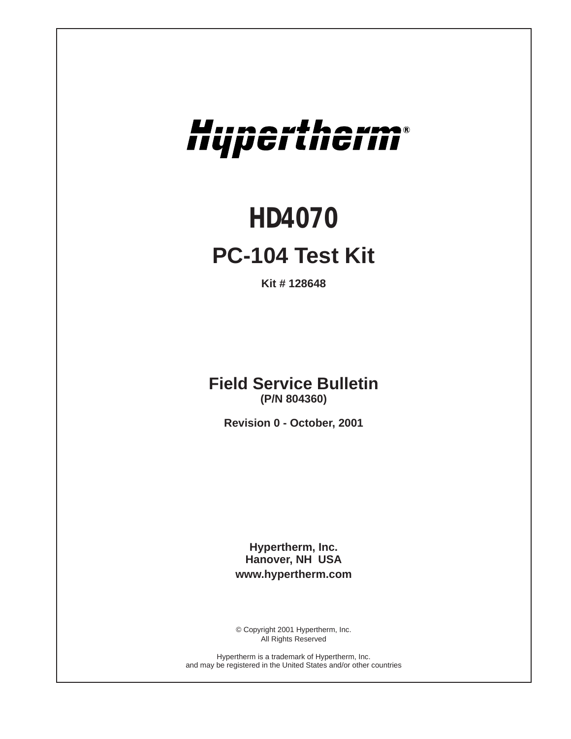# Hupertherm®

# *HD4070* **PC-104 Test Kit**

**Kit # 128648**

**Field Service Bulletin (P/N 804360)**

**Revision 0 - October, 2001**

**Hypertherm, Inc. Hanover, NH USA www.hypertherm.com**

© Copyright 2001 Hypertherm, Inc. All Rights Reserved

Hypertherm is a trademark of Hypertherm, Inc. and may be registered in the United States and/or other countries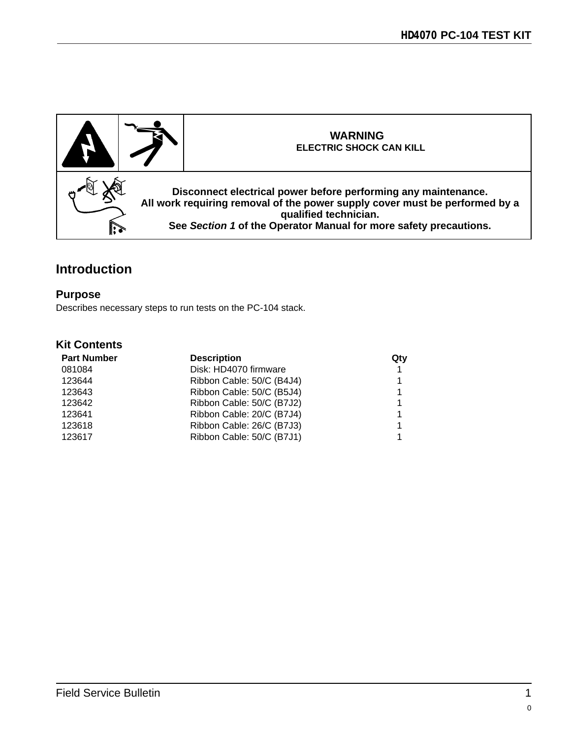

## **Introduction**

#### **Purpose**

Describes necessary steps to run tests on the PC-104 stack.

#### **Kit Contents**

| <b>Part Number</b> | <b>Description</b>        | Qty |
|--------------------|---------------------------|-----|
| 081084             | Disk: HD4070 firmware     | 1   |
| 123644             | Ribbon Cable: 50/C (B4J4) |     |
| 123643             | Ribbon Cable: 50/C (B5J4) | 1   |
| 123642             | Ribbon Cable: 50/C (B7J2) | 1   |
| 123641             | Ribbon Cable: 20/C (B7J4) | 1   |
| 123618             | Ribbon Cable: 26/C (B7J3) | 1   |
| 123617             | Ribbon Cable: 50/C (B7J1) |     |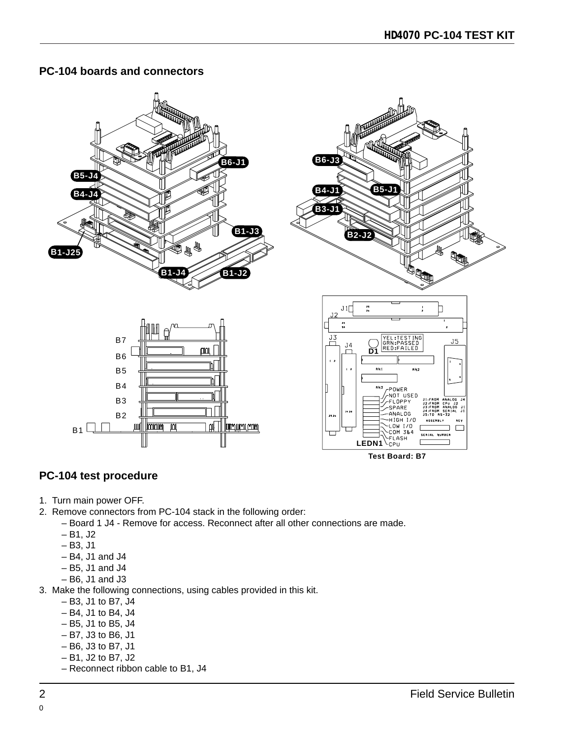#### **PC-104 boards and connectors**



### **PC-104 test procedure**

- 1. Turn main power OFF.
- 2. Remove connectors from PC-104 stack in the following order:
	- Board 1 J4 Remove for access. Reconnect after all other connections are made.
	- B1, J2
	- $B3, J1$
	- B4, J1 and J4
	- B5, J1 and J4
	- B6, J1 and J3
- 3. Make the following connections, using cables provided in this kit.
	- B3, J1 to B7, J4
	- B4, J1 to B4, J4
	- B5, J1 to B5, J4
	- B7, J3 to B6, J1
	- B6, J3 to B7, J1
	- B1, J2 to B7, J2
	- Reconnect ribbon cable to B1, J4